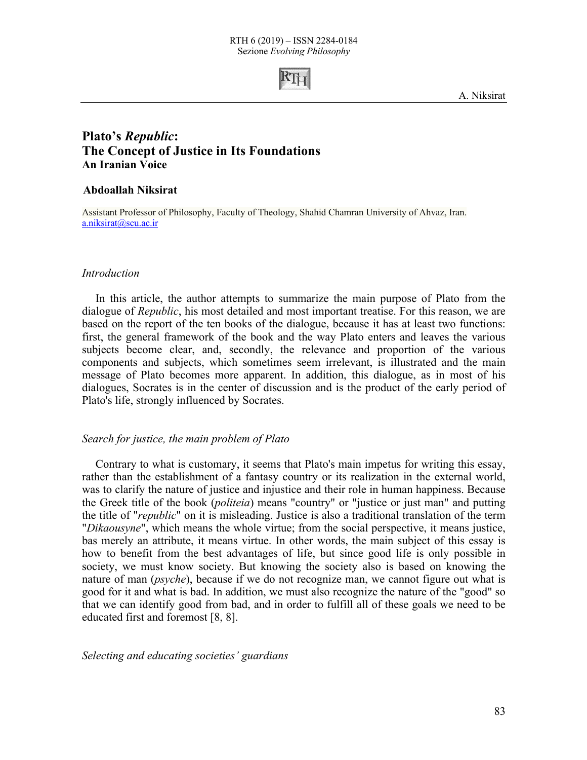

# **Plato's** *Republic***: The Concept of Justice in Its Foundations An Iranian Voice**

### **Abdoallah Niksirat**

Assistant Professor of Philosophy, Faculty of Theology, Shahid Chamran University of Ahvaz, Iran. a.niksirat@scu.ac.ir

#### *Introduction*

In this article, the author attempts to summarize the main purpose of Plato from the dialogue of *Republic*, his most detailed and most important treatise. For this reason, we are based on the report of the ten books of the dialogue, because it has at least two functions: first, the general framework of the book and the way Plato enters and leaves the various subjects become clear, and, secondly, the relevance and proportion of the various components and subjects, which sometimes seem irrelevant, is illustrated and the main message of Plato becomes more apparent. In addition, this dialogue, as in most of his dialogues, Socrates is in the center of discussion and is the product of the early period of Plato's life, strongly influenced by Socrates.

#### *Search for justice, the main problem of Plato*

Contrary to what is customary, it seems that Plato's main impetus for writing this essay, rather than the establishment of a fantasy country or its realization in the external world, was to clarify the nature of justice and injustice and their role in human happiness. Because the Greek title of the book (*politeia*) means "country" or "justice or just man" and putting the title of "*republic*" on it is misleading. Justice is also a traditional translation of the term "*Dikaousyne*", which means the whole virtue; from the social perspective, it means justice, bas merely an attribute, it means virtue. In other words, the main subject of this essay is how to benefit from the best advantages of life, but since good life is only possible in society, we must know society. But knowing the society also is based on knowing the nature of man (*psyche*), because if we do not recognize man, we cannot figure out what is good for it and what is bad. In addition, we must also recognize the nature of the "good" so that we can identify good from bad, and in order to fulfill all of these goals we need to be educated first and foremost [8, 8].

*Selecting and educating societies' guardians*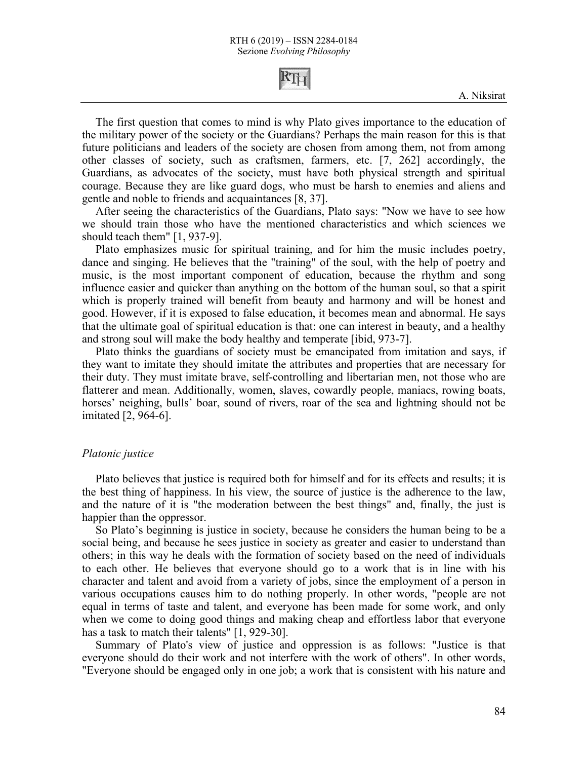

The first question that comes to mind is why Plato gives importance to the education of the military power of the society or the Guardians? Perhaps the main reason for this is that future politicians and leaders of the society are chosen from among them, not from among other classes of society, such as craftsmen, farmers, etc. [7, 262] accordingly, the Guardians, as advocates of the society, must have both physical strength and spiritual courage. Because they are like guard dogs, who must be harsh to enemies and aliens and gentle and noble to friends and acquaintances [8, 37].

After seeing the characteristics of the Guardians, Plato says: "Now we have to see how we should train those who have the mentioned characteristics and which sciences we should teach them" [1, 937-9].

Plato emphasizes music for spiritual training, and for him the music includes poetry, dance and singing. He believes that the "training" of the soul, with the help of poetry and music, is the most important component of education, because the rhythm and song influence easier and quicker than anything on the bottom of the human soul, so that a spirit which is properly trained will benefit from beauty and harmony and will be honest and good. However, if it is exposed to false education, it becomes mean and abnormal. He says that the ultimate goal of spiritual education is that: one can interest in beauty, and a healthy and strong soul will make the body healthy and temperate [ibid, 973-7].

Plato thinks the guardians of society must be emancipated from imitation and says, if they want to imitate they should imitate the attributes and properties that are necessary for their duty. They must imitate brave, self-controlling and libertarian men, not those who are flatterer and mean. Additionally, women, slaves, cowardly people, maniacs, rowing boats, horses' neighing, bulls' boar, sound of rivers, roar of the sea and lightning should not be imitated [2, 964-6].

#### *Platonic justice*

Plato believes that justice is required both for himself and for its effects and results; it is the best thing of happiness. In his view, the source of justice is the adherence to the law, and the nature of it is "the moderation between the best things" and, finally, the just is happier than the oppressor.

So Plato's beginning is justice in society, because he considers the human being to be a social being, and because he sees justice in society as greater and easier to understand than others; in this way he deals with the formation of society based on the need of individuals to each other. He believes that everyone should go to a work that is in line with his character and talent and avoid from a variety of jobs, since the employment of a person in various occupations causes him to do nothing properly. In other words, "people are not equal in terms of taste and talent, and everyone has been made for some work, and only when we come to doing good things and making cheap and effortless labor that everyone has a task to match their talents" [1, 929-30].

Summary of Plato's view of justice and oppression is as follows: "Justice is that everyone should do their work and not interfere with the work of others". In other words, "Everyone should be engaged only in one job; a work that is consistent with his nature and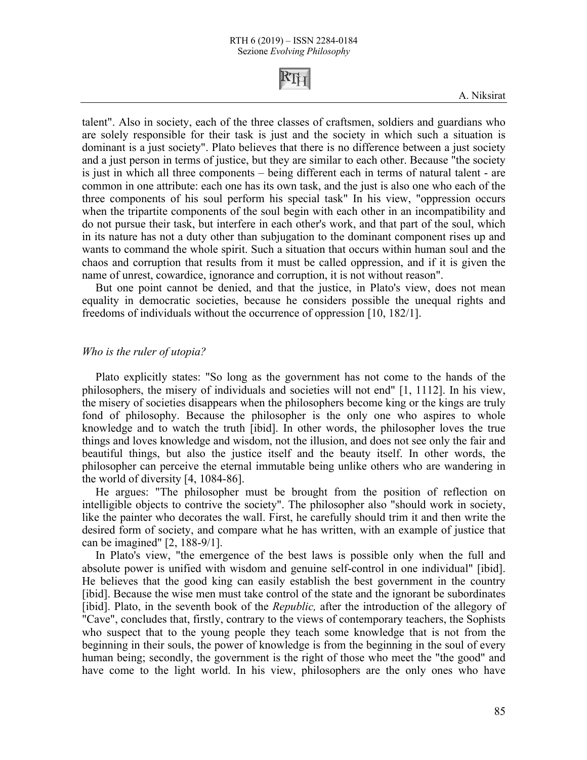talent". Also in society, each of the three classes of craftsmen, soldiers and guardians who are solely responsible for their task is just and the society in which such a situation is dominant is a just society". Plato believes that there is no difference between a just society and a just person in terms of justice, but they are similar to each other. Because "the society is just in which all three components – being different each in terms of natural talent - are common in one attribute: each one has its own task, and the just is also one who each of the three components of his soul perform his special task" In his view, "oppression occurs when the tripartite components of the soul begin with each other in an incompatibility and do not pursue their task, but interfere in each other's work, and that part of the soul, which in its nature has not a duty other than subjugation to the dominant component rises up and wants to command the whole spirit. Such a situation that occurs within human soul and the chaos and corruption that results from it must be called oppression, and if it is given the name of unrest, cowardice, ignorance and corruption, it is not without reason".

But one point cannot be denied, and that the justice, in Plato's view, does not mean equality in democratic societies, because he considers possible the unequal rights and freedoms of individuals without the occurrence of oppression [10, 182/1].

#### *Who is the ruler of utopia?*

Plato explicitly states: "So long as the government has not come to the hands of the philosophers, the misery of individuals and societies will not end" [1, 1112]. In his view, the misery of societies disappears when the philosophers become king or the kings are truly fond of philosophy. Because the philosopher is the only one who aspires to whole knowledge and to watch the truth [ibid]. In other words, the philosopher loves the true things and loves knowledge and wisdom, not the illusion, and does not see only the fair and beautiful things, but also the justice itself and the beauty itself. In other words, the philosopher can perceive the eternal immutable being unlike others who are wandering in the world of diversity [4, 1084-86].

He argues: "The philosopher must be brought from the position of reflection on intelligible objects to contrive the society". The philosopher also "should work in society, like the painter who decorates the wall. First, he carefully should trim it and then write the desired form of society, and compare what he has written, with an example of justice that can be imagined" [2, 188-9/1].

In Plato's view, "the emergence of the best laws is possible only when the full and absolute power is unified with wisdom and genuine self-control in one individual" [ibid]. He believes that the good king can easily establish the best government in the country [ibid]. Because the wise men must take control of the state and the ignorant be subordinates [ibid]. Plato, in the seventh book of the *Republic,* after the introduction of the allegory of "Cave", concludes that, firstly, contrary to the views of contemporary teachers, the Sophists who suspect that to the young people they teach some knowledge that is not from the beginning in their souls, the power of knowledge is from the beginning in the soul of every human being; secondly, the government is the right of those who meet the "the good" and have come to the light world. In his view, philosophers are the only ones who have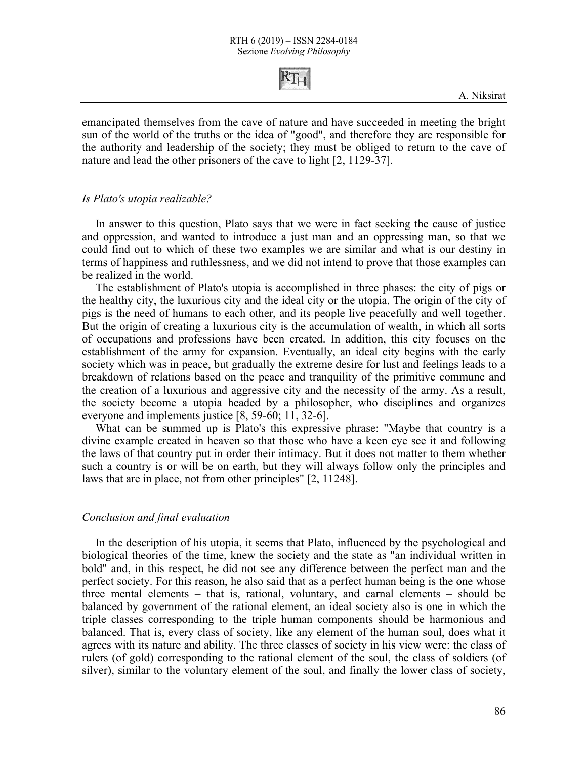

emancipated themselves from the cave of nature and have succeeded in meeting the bright sun of the world of the truths or the idea of "good", and therefore they are responsible for the authority and leadership of the society; they must be obliged to return to the cave of nature and lead the other prisoners of the cave to light [2, 1129-37].

#### *Is Plato's utopia realizable?*

In answer to this question, Plato says that we were in fact seeking the cause of justice and oppression, and wanted to introduce a just man and an oppressing man, so that we could find out to which of these two examples we are similar and what is our destiny in terms of happiness and ruthlessness, and we did not intend to prove that those examples can be realized in the world.

The establishment of Plato's utopia is accomplished in three phases: the city of pigs or the healthy city, the luxurious city and the ideal city or the utopia. The origin of the city of pigs is the need of humans to each other, and its people live peacefully and well together. But the origin of creating a luxurious city is the accumulation of wealth, in which all sorts of occupations and professions have been created. In addition, this city focuses on the establishment of the army for expansion. Eventually, an ideal city begins with the early society which was in peace, but gradually the extreme desire for lust and feelings leads to a breakdown of relations based on the peace and tranquility of the primitive commune and the creation of a luxurious and aggressive city and the necessity of the army. As a result, the society become a utopia headed by a philosopher, who disciplines and organizes everyone and implements justice [8, 59-60; 11, 32-6].

What can be summed up is Plato's this expressive phrase: "Maybe that country is a divine example created in heaven so that those who have a keen eye see it and following the laws of that country put in order their intimacy. But it does not matter to them whether such a country is or will be on earth, but they will always follow only the principles and laws that are in place, not from other principles" [2, 11248].

#### *Conclusion and final evaluation*

In the description of his utopia, it seems that Plato, influenced by the psychological and biological theories of the time, knew the society and the state as "an individual written in bold" and, in this respect, he did not see any difference between the perfect man and the perfect society. For this reason, he also said that as a perfect human being is the one whose three mental elements – that is, rational, voluntary, and carnal elements – should be balanced by government of the rational element, an ideal society also is one in which the triple classes corresponding to the triple human components should be harmonious and balanced. That is, every class of society, like any element of the human soul, does what it agrees with its nature and ability. The three classes of society in his view were: the class of rulers (of gold) corresponding to the rational element of the soul, the class of soldiers (of silver), similar to the voluntary element of the soul, and finally the lower class of society,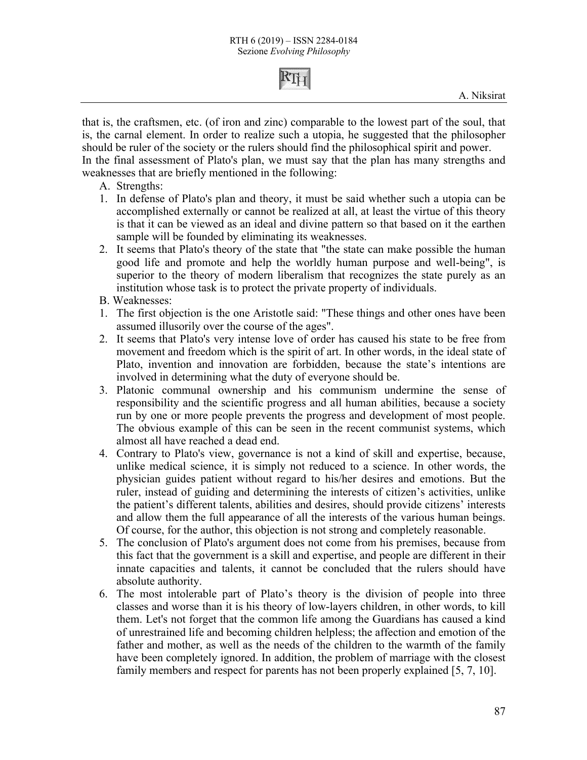

that is, the craftsmen, etc. (of iron and zinc) comparable to the lowest part of the soul, that is, the carnal element. In order to realize such a utopia, he suggested that the philosopher should be ruler of the society or the rulers should find the philosophical spirit and power. In the final assessment of Plato's plan, we must say that the plan has many strengths and

weaknesses that are briefly mentioned in the following:

- A. Strengths:
- 1. In defense of Plato's plan and theory, it must be said whether such a utopia can be accomplished externally or cannot be realized at all, at least the virtue of this theory is that it can be viewed as an ideal and divine pattern so that based on it the earthen sample will be founded by eliminating its weaknesses.
- 2. It seems that Plato's theory of the state that "the state can make possible the human good life and promote and help the worldly human purpose and well-being", is superior to the theory of modern liberalism that recognizes the state purely as an institution whose task is to protect the private property of individuals.
- B. Weaknesses:
- 1. The first objection is the one Aristotle said: "These things and other ones have been assumed illusorily over the course of the ages".
- 2. It seems that Plato's very intense love of order has caused his state to be free from movement and freedom which is the spirit of art. In other words, in the ideal state of Plato, invention and innovation are forbidden, because the state's intentions are involved in determining what the duty of everyone should be.
- 3. Platonic communal ownership and his communism undermine the sense of responsibility and the scientific progress and all human abilities, because a society run by one or more people prevents the progress and development of most people. The obvious example of this can be seen in the recent communist systems, which almost all have reached a dead end.
- 4. Contrary to Plato's view, governance is not a kind of skill and expertise, because, unlike medical science, it is simply not reduced to a science. In other words, the physician guides patient without regard to his/her desires and emotions. But the ruler, instead of guiding and determining the interests of citizen's activities, unlike the patient's different talents, abilities and desires, should provide citizens' interests and allow them the full appearance of all the interests of the various human beings. Of course, for the author, this objection is not strong and completely reasonable.
- 5. The conclusion of Plato's argument does not come from his premises, because from this fact that the government is a skill and expertise, and people are different in their innate capacities and talents, it cannot be concluded that the rulers should have absolute authority.
- 6. The most intolerable part of Plato's theory is the division of people into three classes and worse than it is his theory of low-layers children, in other words, to kill them. Let's not forget that the common life among the Guardians has caused a kind of unrestrained life and becoming children helpless; the affection and emotion of the father and mother, as well as the needs of the children to the warmth of the family have been completely ignored. In addition, the problem of marriage with the closest family members and respect for parents has not been properly explained [5, 7, 10].